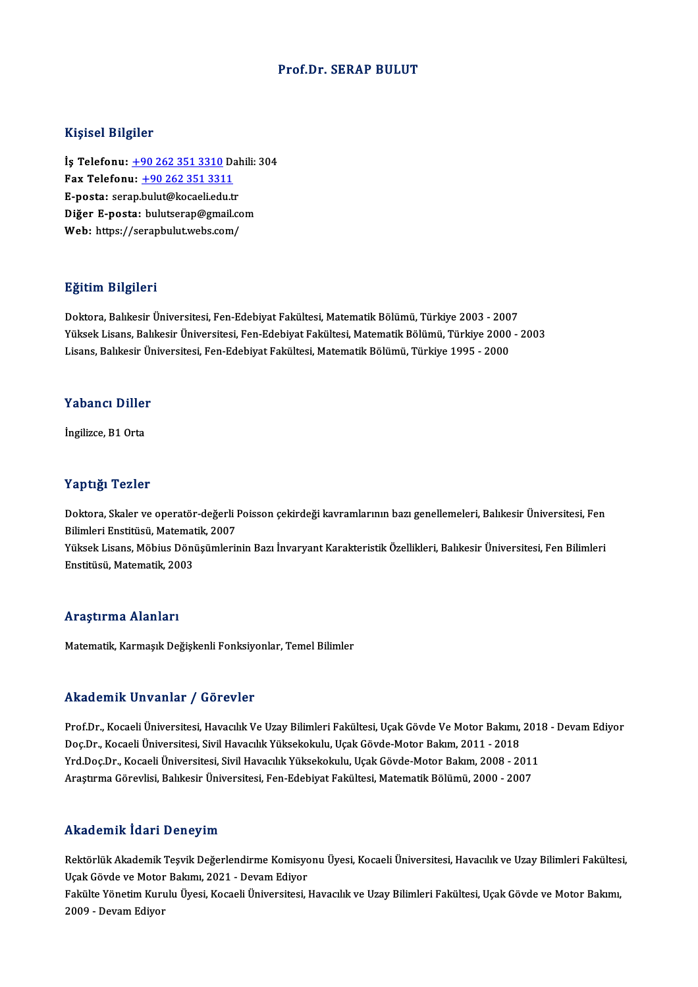#### Prof.Dr. SERAP BULUT

#### Kişisel Bilgiler

İş Telefonu: +90 262 351 3310 Dahili: 304 11.9.001 21.9.101<br>İş Telefonu: <u>+90 262 351 3310</u> D.<br>Fax Telefonu: <u>+90 262 351 3311</u> İş Telefonu: <u>+90 262 351 3310</u> Dal<br>Fax Telefonu: <u>+90 262 351 3311</u><br>E-posta: ser[ap.](tel:+90 262 351 3310)[bulut@kocaeli.edu.t](tel:+90 262 351 3311)r<br>Dižer E posta: bulutserap@rmail.co E-posta: serap.bulut@kocaeli.edu.tr<br>Diğer E-posta: bulutserap@gmail.com Web: https://serapbulut.webs.com/

#### Eğitim Bilgileri

<mark>Eğitim Bilgileri</mark><br>Doktora, Balıkesir Üniversitesi, Fen-Edebiyat Fakültesi, Matematik Bölümü, Türkiye 2003 - 2007<br>Yüksek Lisane, Balıkesir Üniversitesi, Fen Edebiyat Fakültesi, Matematik Bölümü, Türkiye 2000 Yüksek Lisans, Balıkesir Üniversitesi, Fen-Edebiyat Fakültesi, Matematik Bölümü, Türkiye 2000 - 2003<br>Lisans, Balıkesir Üniversitesi, Fen-Edebiyat Fakültesi, Matematik Bölümü, Türkiye 1995 - 2000 Doktora, Balıkesir Üniversitesi, Fen-Edebiyat Fakültesi, Matematik Bölümü, Türkiye 2003 - 200<br>Yüksek Lisans, Balıkesir Üniversitesi, Fen-Edebiyat Fakültesi, Matematik Bölümü, Türkiye 2000<br>Lisans, Balıkesir Üniversitesi, Fe

#### Yabancı Diller

İngilizce, B1 Orta

#### Yaptığı Tezler

Yaptığı Tezler<br>Doktora, Skaler ve operatör-değerli Poisson çekirdeği kavramlarının bazı genellemeleri, Balıkesir Üniversitesi, Fen<br>Bilimleri Enstitüsü, Matematik, 2007 r ap agr romor<br>Doktora, Skaler ve operatör-değerli l<br>Bilimleri Enstitüsü, Matematik, 2007<br>Vülgek Lisans, Möhius Dönüsümleri Doktora, Skaler ve operatör-değerli Poisson çekirdeği kavramlarının bazı genellemeleri, Balıkesir Üniversitesi, Fen<br>Bilimleri Enstitüsü, Matematik, 2007<br>Yüksek Lisans, Möbius Dönüşümlerinin Bazı İnvaryant Karakteristik Öze

Bilimleri Enstitüsü, Matemat<br>Yüksek Lisans, Möbius Döni<br>Enstitüsü, Matematik, 2003 Enstitüsü, Matematik, 2003<br>Araştırma Alanları

Matematik, Karmaşık Değişkenli Fonksiyonlar, Temel Bilimler

#### Akademik Unvanlar / Görevler

Akademik Unvanlar / Görevler<br>Prof.Dr., Kocaeli Üniversitesi, Havacılık Ve Uzay Bilimleri Fakültesi, Uçak Gövde Ve Motor Bakımı, 2018 - Devam Ediyor<br>Des Dr. Kosaeli Üniversitesi, Sivil Havasılık Vülsekelalılı, Usak Gövde Mo rında olirin "Oli varitar" yı defevtet<br>Prof.Dr., Kocaeli Üniversitesi, Havacılık Ve Uzay Bilimleri Fakültesi, Uçak Gövde Ve Motor Bakımı,<br>Doç.Dr., Kocaeli Üniversitesi, Sivil Havacılık Yüksekokulu, Uçak Gövde-Motor Bakım, Prof.Dr., Kocaeli Üniversitesi, Havacılık Ve Uzay Bilimleri Fakültesi, Uçak Gövde Ve Motor Bakımı, 201<br>Doç.Dr., Kocaeli Üniversitesi, Sivil Havacılık Yüksekokulu, Uçak Gövde-Motor Bakım, 2011 - 2018<br>Yrd.Doç.Dr., Kocaeli Ün Doç.Dr., Kocaeli Üniversitesi, Sivil Havacılık Yüksekokulu, Uçak Gövde-Motor Bakım, 2011 - 2018<br>Yrd.Doç.Dr., Kocaeli Üniversitesi, Sivil Havacılık Yüksekokulu, Uçak Gövde-Motor Bakım, 2008 - 2011<br>Araştırma Görevlisi, Balık Araştırma Görevlisi, Balıkesir Üniversitesi, Fen-Edebiyat Fakültesi, Matematik Bölümü, 2000 - 2007<br>Akademik İdari Deneyim

Akademik İdari Deneyim<br>Rektörlük Akademik Teşvik Değerlendirme Komisyonu Üyesi, Kocaeli Üniversitesi, Havacılık ve Uzay Bilimleri Fakültesi,<br>Hark Göyde ve Meter Belamı, 2021, "Devem Ediyer 1111112 - 111112 - 111212<br>Rektörlük Akademik Teşvik Değerlendirme Komisyo<br>Uçak Gövde ve Motor Bakımı, 2021 - Devam Ediyor<br>Felsiko Vänetim Kumılıı İlvesi, Kosaali Üniversitesi Rektörlük Akademik Teşvik Değerlendirme Komisyonu Üyesi, Kocaeli Üniversitesi, Havacılık ve Uzay Bilimleri Fakültes<br>Uçak Gövde ve Motor Bakımı, 2021 - Devam Ediyor<br>Fakülte Yönetim Kurulu Üyesi, Kocaeli Üniversitesi, Havacı

Uçak Gövde ve Motor Bakımı, 2021 - Devam Ediyor<br>Fakülte Yönetim Kurulu Üyesi, Kocaeli Üniversitesi, Havacılık ve Uzay Bilimleri Fakültesi, Uçak Gövde ve Motor Bakımı,<br>2009 - Devam Ediyor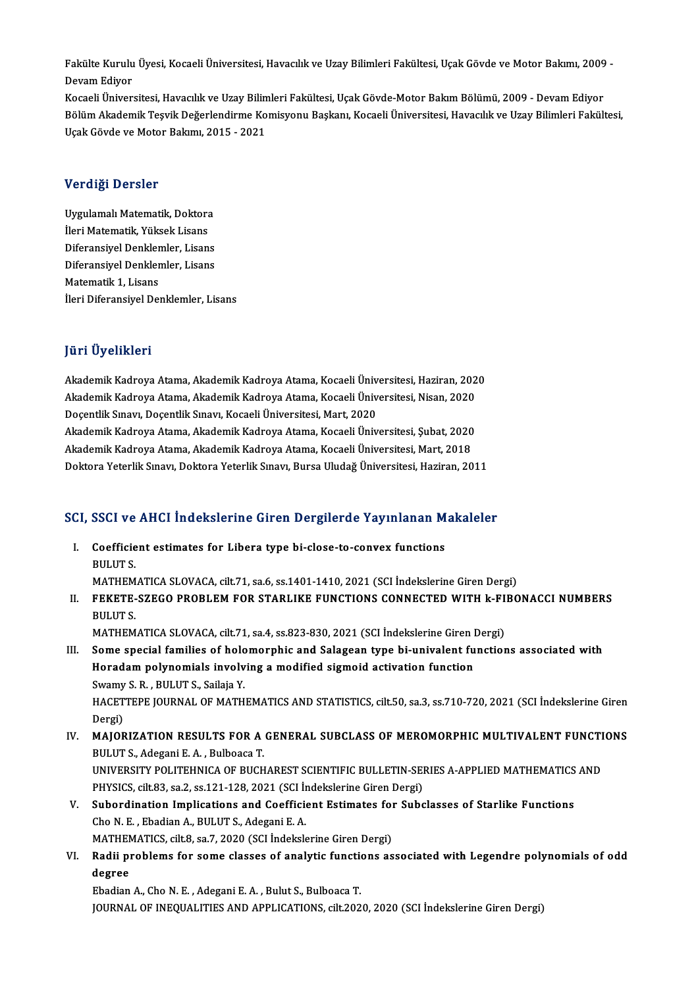Fakülte Kurulu Üyesi, Kocaeli Üniversitesi, Havacılık ve Uzay Bilimleri Fakültesi, Uçak Gövde ve Motor Bakımı, 2009 -<br>Devam Ediyen Fakülte Kurulu<br>Devam Ediyor<br>Kosaeli Üniyor Fakülte Kurulu Üyesi, Kocaeli Üniversitesi, Havacılık ve Uzay Bilimleri Fakültesi, Uçak Gövde ve Motor Bakımı, 2009<br>Devam Ediyor<br>Kocaeli Üniversitesi, Havacılık ve Uzay Bilimleri Fakültesi, Uçak Gövde-Motor Bakım Bölümü, 2

Devam Ediyor<br>Kocaeli Üniversitesi, Havacılık ve Uzay Bilimleri Fakültesi, Uçak Gövde-Motor Bakım Bölümü, 2009 - Devam Ediyor<br>Bölüm Akademik Teşvik Değerlendirme Komisyonu Başkanı, Kocaeli Üniversitesi, Havacılık ve Uzay Bi Kocaeli Üniversitesi, Havacılık ve Uzay Bilin<br>Bölüm Akademik Teşvik Değerlendirme Ko<br>Uçak Gövde ve Motor Bakımı, 2015 - 2021 Uçak Gövde ve Motor Bakımı, 2015 - 2021<br>Verdiği Dersler

Ver<mark>diği Dersler</mark><br>Uygulamalı Matematik, Doktora<br>İləri Matematik, Vüksek Lisanc vər argr Dərbiət<br>Uygulamalı Matematik, Doktora<br>İleri Matematik, Yüksek Lisans<br>Diforansiyal Danklamlar, Lisan İleri Matematik, Yüksek Lisans<br>Diferansiyel Denklemler, Lisans İleri Matematik, Yüksek Lisans<br>Diferansiyel Denklemler, Lisans<br>Diferansiyel Denklemler, Lisans<br>Matematik 1, Lisans Diferansiyel Denkler<br>Diferansiyel Denkler<br>Matematik 1, Lisans<br><sup>Hori</sup> Diferansiyel Der Matematik 1, Lisans<br>İleri Diferansiyel Denklemler, Lisans

#### JüriÜyelikleri

**Jüri Üyelikleri**<br>Akademik Kadroya Atama, Akademik Kadroya Atama, Kocaeli Üniversitesi, Haziran, 2020<br>Akademik Kadroya Atama, Akademik Kadroya Atama, Kocaeli Üniversitesi, Nisan, 2020 yarr Oyommorr<br>Akademik Kadroya Atama, Akademik Kadroya Atama, Kocaeli Üniversitesi, Haziran, 202<br>Akademik Kadroya Atama, Akademik Kadroya Atama, Kocaeli Üniversitesi, Nisan, 2020<br>Dosantlik Sunava Dosantlik Sunava Kosaeli Ü Akademik Kadroya Atama, Akademik Kadroya Atama, Kocaeli Üniv<br>Akademik Kadroya Atama, Akademik Kadroya Atama, Kocaeli Üniv<br>Doçentlik Sınavı, Doçentlik Sınavı, Kocaeli Üniversitesi, Mart, 2020<br>Akademik Kadroya Atama, Akademi Akademik Kadroya Atama, Akademik Kadroya Atama, Kocaeli Üniversitesi, Nisan, 2020<br>Doçentlik Sınavı, Doçentlik Sınavı, Kocaeli Üniversitesi, Mart, 2020<br>Akademik Kadroya Atama, Akademik Kadroya Atama, Kocaeli Üniversitesi, Ş Doçentlik Sınavı, Doçentlik Sınavı, Kocaeli Üniversitesi, Mart, 2020<br>Akademik Kadroya Atama, Akademik Kadroya Atama, Kocaeli Üniversitesi, Şubat, 2020<br>Akademik Kadroya Atama, Akademik Kadroya Atama, Kocaeli Üniversitesi, M Akademik Kadroya Atama, Akademik Kadroya Atama, Kocaeli Üniversitesi, Mart, 2018<br>Doktora Yeterlik Sınavı, Doktora Yeterlik Sınavı, Bursa Uludağ Üniversitesi, Haziran, 2011

# рокюга тесегік sınavı, рокюга тесегік sınavı, bursa oludağ oniversitesi, naziran, 2011<br>SCI, SSCI ve AHCI İndekslerine Giren Dergilerde Yayınlanan Makaleler

CI, SSCI ve AHCI İndekslerine Giren Dergilerde Yayınlanan M<br>I. Coefficient estimates for Libera type bi-close-to-convex functions<br>PULUTS I. Coefficient estimates for Libera type bi-close-to-convex functions<br>BULUTS. Coefficient estimates for Libera type bi-close-to-convex functions<br>BULUT S.<br>MATHEMATICA SLOVACA, cilt.71, sa.6, ss.1401-1410, 2021 (SCI İndekslerine Giren Dergi)<br>FEKETE SZECO PROPLEM FOR STARLIKE EUNCTIONS CONNECTED WITH L

II. FEKETE-SZEGO PROBLEM FOR STARLIKE FUNCTIONS CONNECTED WITH k-FIBONACCI NUMBERS<br>BULUT S. MATHEM<br>F<mark>EKETE-</mark><br>BULUT S.<br>MATHEM FEKETE-SZEGO PROBLEM FOR STARLIKE FUNCTIONS CONNECTED WITH k-FI<br>BULUT S.<br>MATHEMATICA SLOVACA, cilt.71, sa.4, ss.823-830, 2021 (SCI İndekslerine Giren Dergi)<br>Sama spacial familias of belamarphis and Salagean tupe bi univala

- III. Some special families of holomorphic and Salagean type bi-univalent functions associated with<br>Horadam polynomials involving a modified sigmoid activation function MATHEMATICA SLOVACA, cilt.71, sa.4, ss.823-830, 2021 (SCI İndekslerine Giren I<br>Some special families of holomorphic and Salagean type bi-univalent fu<br>Horadam polynomials involving a modified sigmoid activation function<br>Sug Some special families of holo<br>Horadam polynomials involv<br>Swamy S. R. , BULUT S., Sailaja Y.<br>HACETTERE JOURNAL OF MATH HACETTEPE JOURNAL OF MATHEMATICS AND STATISTICS, cilt.50, sa.3, ss.710-720, 2021 (SCI İndekslerine Giren<br>Dergi) Swamy<br>HACET<br>Dergi)<br>MAIOP HACETTEPE JOURNAL OF MATHEMATICS AND STATISTICS, cilt.50, sa.3, ss.710-720, 2021 (SCI Indekslerine Giren<br>Dergi)<br>IV. MAJORIZATION RESULTS FOR A GENERAL SUBCLASS OF MEROMORPHIC MULTIVALENT FUNCTIONS
- Dergi)<br>**MAJORIZATION RESULTS FOR A<br>BULUT S., Adegani E. A. , Bulboaca T.<br>UNIVERSITY POLITEUNICA OF PUCH** MAJORIZATION RESULTS FOR A GENERAL SUBCLASS OF MEROMORPHIC MULTIVALENT FUNCTI<br>BULUT S., Adegani E. A. , Bulboaca T.<br>UNIVERSITY POLITEHNICA OF BUCHAREST SCIENTIFIC BULLETIN-SERIES A-APPLIED MATHEMATICS AND<br>BUYSICS silt 82 s BULUT S., Adegani E. A. , Bulboaca T.<br>UNIVERSITY POLITEHNICA OF BUCHAREST SCIENTIFIC BULLETIN-SEI<br>PHYSICS, cilt.83, sa.2, ss.121-128, 2021 (SCI İndekslerine Giren Dergi)<br>Subardination Impliations and Coefficient Estimates UNIVERSITY POLITEHNICA OF BUCHAREST SCIENTIFIC BULLETIN-SERIES A-APPLIED MATHEMATICS AND<br>PHYSICS, cilt.83, sa.2, ss.121-128, 2021 (SCI Indekslerine Giren Dergi)<br>V. Subordination Implications and Coefficient Estimates for S
- PHYSICS, cilt.83, sa.2, ss.121-128, 2021 (SCI In<br>Subordination Implications and Coefficie<br>Cho N. E., Ebadian A., BULUT S., Adegani E. A. Subordination Implications and Coefficient Estimates for<br>Cho N. E. , Ebadian A., BULUT S., Adegani E. A.<br>MATHEMATICS, cilt.8, sa.7, 2020 (SCI İndekslerine Giren Dergi)<br>Padii problems for some slasses of analytis functions
- VI. Radii problems for some classes of analytic functions associated with Legendre polynomials of odd<br>degree MATHEN<br><mark>Radii p</mark>i<br>degree<br><sup>Ehadian</sup>

Ebadian A., Cho N. E., Adegani E. A., Bulut S., Bulboaca T. JOURNAL OF INEQUALITIES AND APPLICATIONS, cilt.2020, 2020 (SCI İndekslerine Giren Dergi)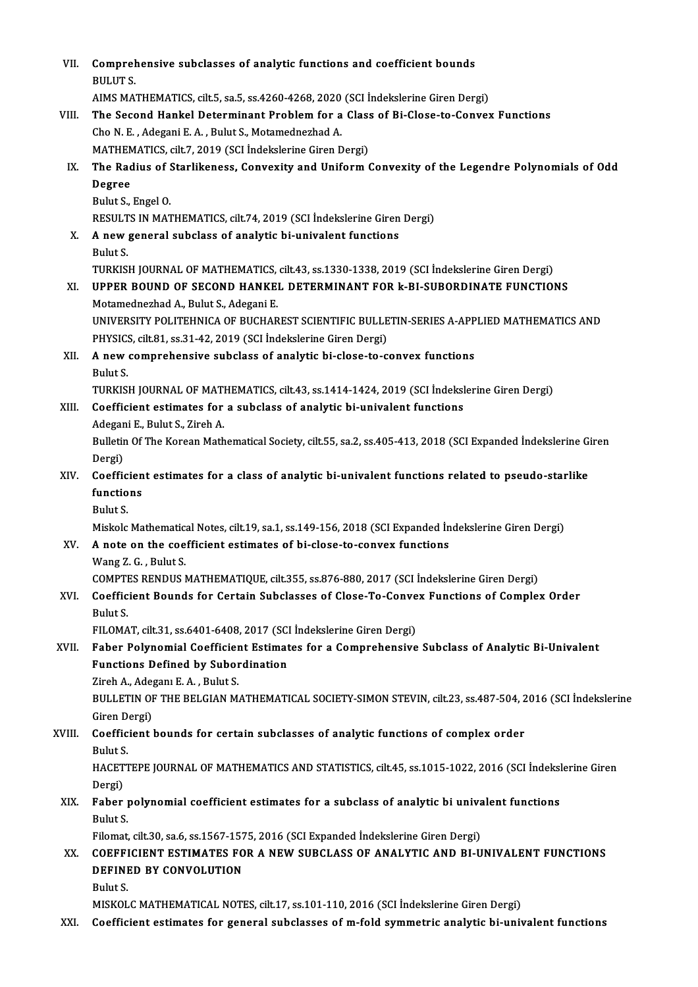| VII.   | Comprehensive subclasses of analytic functions and coefficient bounds                                                                                                                    |
|--------|------------------------------------------------------------------------------------------------------------------------------------------------------------------------------------------|
|        | <b>BULUT S</b>                                                                                                                                                                           |
|        | AIMS MATHEMATICS, cilt.5, sa.5, ss.4260-4268, 2020 (SCI Indekslerine Giren Dergi)                                                                                                        |
| VIII.  | The Second Hankel Determinant Problem for a Class of Bi-Close-to-Convex Functions                                                                                                        |
|        | Cho N. E., Adegani E. A., Bulut S., Motamednezhad A.                                                                                                                                     |
|        | MATHEMATICS, cilt.7, 2019 (SCI İndekslerine Giren Dergi)                                                                                                                                 |
| IX.    | The Radius of Starlikeness, Convexity and Uniform Convexity of the Legendre Polynomials of Odd                                                                                           |
|        | Degree                                                                                                                                                                                   |
|        | Bulut S., Engel O.                                                                                                                                                                       |
|        | RESULTS IN MATHEMATICS, cilt 74, 2019 (SCI Indekslerine Giren Dergi)                                                                                                                     |
| X.     | A new general subclass of analytic bi-univalent functions                                                                                                                                |
|        | Bulut S.                                                                                                                                                                                 |
|        | TURKISH JOURNAL OF MATHEMATICS, cilt.43, ss.1330-1338, 2019 (SCI İndekslerine Giren Dergi)                                                                                               |
| XI.    | UPPER BOUND OF SECOND HANKEL DETERMINANT FOR k-BI-SUBORDINATE FUNCTIONS                                                                                                                  |
|        | Motamednezhad A., Bulut S., Adegani E.                                                                                                                                                   |
|        | UNIVERSITY POLITEHNICA OF BUCHAREST SCIENTIFIC BULLETIN-SERIES A-APPLIED MATHEMATICS AND                                                                                                 |
|        | PHYSICS, cilt.81, ss.31-42, 2019 (SCI Indekslerine Giren Dergi)                                                                                                                          |
| XII.   | A new comprehensive subclass of analytic bi-close-to-convex functions                                                                                                                    |
|        | Bulut S.                                                                                                                                                                                 |
|        | TURKISH JOURNAL OF MATHEMATICS, cilt.43, ss.1414-1424, 2019 (SCI İndekslerine Giren Dergi)                                                                                               |
| XIII.  | Coefficient estimates for a subclass of analytic bi-univalent functions                                                                                                                  |
|        | Adegani E., Bulut S., Zireh A.                                                                                                                                                           |
|        | Bulletin Of The Korean Mathematical Society, cilt 55, sa.2, ss.405-413, 2018 (SCI Expanded İndekslerine Giren                                                                            |
|        | Dergi)                                                                                                                                                                                   |
| XIV.   | Coefficient estimates for a class of analytic bi-univalent functions related to pseudo-starlike                                                                                          |
|        | functions                                                                                                                                                                                |
|        | Bulut S.                                                                                                                                                                                 |
|        | Miskolc Mathematical Notes, cilt.19, sa.1, ss.149-156, 2018 (SCI Expanded Indekslerine Giren Dergi)                                                                                      |
| XV.    | A note on the coefficient estimates of bi-close-to-convex functions                                                                                                                      |
|        | Wang Z. G., Bulut S.                                                                                                                                                                     |
|        | COMPTES RENDUS MATHEMATIQUE, cilt.355, ss.876-880, 2017 (SCI Indekslerine Giren Dergi)                                                                                                   |
| XVI.   | Coefficient Bounds for Certain Subclasses of Close-To-Convex Functions of Complex Order                                                                                                  |
|        | Bulut S                                                                                                                                                                                  |
|        | FILOMAT, cilt.31, ss.6401-6408, 2017 (SCI Indekslerine Giren Dergi)                                                                                                                      |
| XVII.  | Faber Polynomial Coefficient Estimates for a Comprehensive Subclass of Analytic Bi-Univalent                                                                                             |
|        | <b>Functions Defined by Subordination</b>                                                                                                                                                |
|        | Zireh A., Adeganı E. A., Bulut S.                                                                                                                                                        |
|        | BULLETIN OF THE BELGIAN MATHEMATICAL SOCIETY-SIMON STEVIN, cilt.23, ss.487-504, 2016 (SCI İndekslerine                                                                                   |
|        | Giren Dergi)                                                                                                                                                                             |
| XVIII. | Coefficient bounds for certain subclasses of analytic functions of complex order                                                                                                         |
|        | <b>Bulut S.</b>                                                                                                                                                                          |
|        | HACETTEPE JOURNAL OF MATHEMATICS AND STATISTICS, cilt.45, ss.1015-1022, 2016 (SCI Indekslerine Giren                                                                                     |
|        | Dergi)                                                                                                                                                                                   |
| XIX.   | Faber polynomial coefficient estimates for a subclass of analytic bi univalent functions                                                                                                 |
|        | <b>Bulut S</b>                                                                                                                                                                           |
|        | Filomat, cilt 30, sa.6, ss.1567-1575, 2016 (SCI Expanded Indekslerine Giren Dergi)                                                                                                       |
| XX.    | COEFFICIENT ESTIMATES FOR A NEW SUBCLASS OF ANALYTIC AND BI-UNIVALENT FUNCTIONS                                                                                                          |
|        | DEFINED BY CONVOLUTION                                                                                                                                                                   |
|        | Bulut S.                                                                                                                                                                                 |
|        | MISKOLC MATHEMATICAL NOTES, cilt.17, ss.101-110, 2016 (SCI Indekslerine Giren Dergi)<br>Coefficient estimates for general subclasses of m-fold symmetric analytic bi-univalent functions |
| XXI.   |                                                                                                                                                                                          |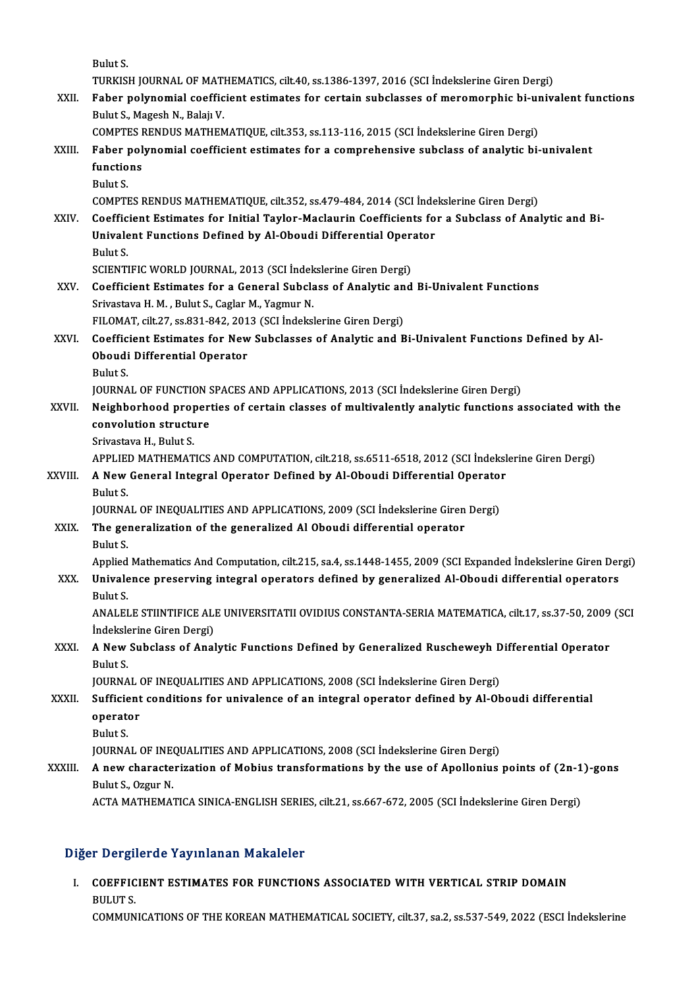BulutS.

Bulut S.<br>TURKISH JOURNAL OF MATHEMATICS, cilt.40, ss.1386-1397, 2016 (SCI İndekslerine Giren Dergi)<br>Fahan nalunamial saaffisiant estimates far sartain subalasses of meromannhis bi univ:

XXII. Faber polynomial coefficient estimates for certain subclasses of meromorphic bi-univalent functions<br>Bulut S., Magesh N., Balajı V. TURKISH JOURNAL OF MATI<br>Faber polynomial coeffic<br>Bulut S., Magesh N., Balajı V.<br>COMPTES PENDUS MATUEN Faber polynomial coefficient estimates for certain subclasses of meromorphic bi-ur<br>Bulut S., Magesh N., Balajı V.<br>COMPTES RENDUS MATHEMATIQUE, cilt.353, ss.113-116, 2015 (SCI İndekslerine Giren Dergi)<br>Faber polynomial soef

#### Bulut S., Magesh N., Balajı V.<br>COMPTES RENDUS MATHEMATIQUE, cilt.353, ss.113-116, 2015 (SCI İndekslerine Giren Dergi)<br>XXIII. Faber polynomial coefficient estimates for a comprehensive subclass of analytic bi-univalent<br>func COMPTES I<br>Faber pol<br>functions<br>Pulut S Faber<br>functio<br>Bulut S.<br>COMPTI functions<br>Bulut S.<br>COMPTES RENDUS MATHEMATIQUE, cilt.352, ss.479-484, 2014 (SCI İndekslerine Giren Dergi)<br>Coefficient Estimates for Initial Tayler, Masleurin Coefficients for a Subslass of Anal

Bulut S.<br>COMPTES RENDUS MATHEMATIQUE, cilt.352, ss.479-484, 2014 (SCI İndekslerine Giren Dergi)<br>XXIV. Coefficient Estimates for Initial Taylor-Maclaurin Coefficients for a Subclass of Analytic and Bi-<br>Inivelant Eunstians D COMPTES RENDUS MATHEMATIQUE, cilt.352, ss.479-484, 2014 (SCI İnde<br>Coefficient Estimates for Initial Taylor-Maclaurin Coefficients fo<br>Univalent Functions Defined by Al-Oboudi Differential Operator<br>Pulut S Coeffic<br>Univale<br>Bulut S.<br>SCIENTI Univalent Functions Defined by Al-Oboudi Differential Operator<br>Bulut S.<br>SCIENTIFIC WORLD JOURNAL, 2013 (SCI İndekslerine Giren Dergi)

- Bulut S.<br>SCIENTIFIC WORLD JOURNAL, 2013 (SCI Indekslerine Giren Dergi)<br>XXV. Coefficient Estimates for a General Subclass of Analytic and Bi-Univalent Functions<br>Spituateus H. M., Pulut S. Coglan M. Yagmur N. SCIENTIFIC WORLD JOURNAL, 2013 (SCI İndek<br>Coefficient Estimates for a General Subcla<br>Srivastava H. M. , Bulut S., Caglar M., Yagmur N.<br>EU OMAT gilt 27, 88.821, 842, 2012 (SCI İndeksl Coefficient Estimates for a General Subclass of Analytic an<br>Srivastava H. M. , Bulut S., Caglar M., Yagmur N.<br>FILOMAT, cilt.27, ss.831-842, 2013 (SCI İndekslerine Giren Dergi)<br>Coefficient Estimates for New Subclasses of An
- Srivastava H. M. , Bulut S., Caglar M., Yagmur N.<br>FILOMAT, cilt.27, ss.831-842, 2013 (SCI İndekslerine Giren Dergi)<br>XXVI. Coefficient Estimates for New Subclasses of Analytic and Bi-Univalent Functions Defined by Al-FILOMAT, cilt.27, ss.831-842, 201<br>Coefficient Estimates for New<br>Oboudi Differential Operator<br><sup>Pulut S</sup> Coeffic<br>Oboudi<br>Bulut S.<br>IOUPNA Oboudi Differential Operator<br>Bulut S.<br>JOURNAL OF FUNCTION SPACES AND APPLICATIONS, 2013 (SCI İndekslerine Giren Dergi)<br>Naishbarbaad pranartisa of sartain elasses of multivelantly apalytis functions a

Bulut S.<br>JOURNAL OF FUNCTION SPACES AND APPLICATIONS, 2013 (SCI İndekslerine Giren Dergi)<br>XXVII. Neighborhood properties of certain classes of multivalently analytic functions associated with the<br>Convolution structure JOURNAL OF FUNCTION S<br>Neighborhood proper<br>convolution structure<br>Srivastava H. Bulut S **Neighborhood prop<br>convolution structu<br>Srivastava H., Bulut S.<br>APPLIED MATHEMAT** convolution structure<br>Srivastava H., Bulut S.<br>APPLIED MATHEMATICS AND COMPUTATION, cilt.218, ss.6511-6518, 2012 (SCI İndekslerine Giren Dergi)<br>A Naw Conoral Integral Operator Defined by Al Obeydi Differential Operator

## Srivastava H., Bulut S.<br>APPLIED MATHEMATICS AND COMPUTATION, cilt.218, ss.6511-6518, 2012 (SCI İndeksl<br>XXVIII. A New General Integral Operator Defined by Al-Oboudi Differential Operator **APPLIED**<br>**A New**<br>Bulut S. A New General Integral Operator Defined by Al-Oboudi Differential Operato:<br>Bulut S.<br>JOURNAL OF INEQUALITIES AND APPLICATIONS, 2009 (SCI İndekslerine Giren Dergi)<br>The generalization of the generalized Al Oboudi differential

JOURNAL OF INEQUALITIES AND APPLICATIONS, 2009 (SCI Indekslerine Giren Dergi)

# Bulut S.<br>JOURNAL OF INEQUALITIES AND APPLICATIONS, 2009 (SCI Indekslerine Giren<br>XXIX. The generalization of the generalized Al Oboudi differential operator<br>Bulut S. The generalization of the generalized Al Oboudi differential operator<br>Bulut S.<br>Applied Mathematics And Computation, cilt.215, sa.4, ss.1448-1455, 2009 (SCI Expanded İndekslerine Giren Dergi)

XXX. Univalence preserving integral operators defined by generalized Al-Oboudi differential operators Applied<br>Univale<br>Bulut S.<br>ANALEI Univalence preserving integral operators defined by generalized Al-Oboudi differential operators<br>Bulut S.<br>ANALELE STIINTIFICE ALE UNIVERSITATII OVIDIUS CONSTANTA-SERIA MATEMATICA, cilt.17, ss.37-50, 2009 (SCI<br>Indekslerine

Bulut S.<br>ANALELE STIINTIFICE ALI<br>İndekslerine Giren Dergi)<br>A Novy Subelase of Anal ANALELE STIINTIFICE ALE UNIVERSITATII OVIDIUS CONSTANTA-SERIA MATEMATICA, cilt.17, ss.37-50, 2009<br>Indekslerine Giren Dergi)<br>XXXI. A New Subclass of Analytic Functions Defined by Generalized Ruscheweyh Differential Operator

# **indeksle**<br>**A New**<br>Bulut S.<br>JOUPNA A New Subclass of Analytic Functions Defined by Generalized Ruscheweyh D<br>Bulut S.<br>JOURNAL OF INEQUALITIES AND APPLICATIONS, 2008 (SCI İndekslerine Giren Dergi)<br>Sufficient conditions for univalence of an integral operator d

#### Bulut S.<br>JOURNAL OF INEQUALITIES AND APPLICATIONS, 2008 (SCI İndekslerine Giren Dergi)<br>XXXII. Sufficient conditions for univalence of an integral operator defined by Al-Oboudi differential JOURNAL OF INEQUALITIES AND APPLICATIONS, 2008 (SCI Indekslerine Giren Dergi)<br>Sufficient conditions for univalence of an integral operator defined by Al-Ol<br>operator<br>Bulut S. Sufficie<br>operate<br>Bulut S.<br>IOUPNA operator<br>Bulut S.<br>JOURNAL OF INEQUALITIES AND APPLICATIONS, 2008 (SCI İndekslerine Giren Dergi)<br>A new sharasterization of Mobius transformations by the use of Angllenius.

## Bulut S.<br>JOURNAL OF INEQUALITIES AND APPLICATIONS, 2008 (SCI Indekslerine Giren Dergi)<br>XXXIII. A new characterization of Mobius transformations by the use of Apollonius points of (2n-1)-gons<br>Pulut S. Ozgur N **JOURNAL OF INE<br>A new characte<br>Bulut S., Ozgur N.**<br>ACTA MATUEMA A new characterization of Mobius transformations by the use of Apollonius points of (2n-1<br>Bulut S., Ozgur N.<br>ACTA MATHEMATICA SINICA-ENGLISH SERIES, cilt.21, ss.667-672, 2005 (SCI İndekslerine Giren Dergi)

ACTA MATHEMATICA SINICA-ENGLISH SERIES, cilt.21, ss.667-672, 2005 (SCI İndekslerine Giren Dergi)<br>Diğer Dergilerde Yayınlanan Makaleler

Iğer Dergilerde Yayınlanan Makaleler<br>I. COEFFICIENT ESTIMATES FOR FUNCTIONS ASSOCIATED WITH VERTICAL STRIP DOMAIN TE ET STILL<br>COEFFIC<br>COMMUN BULUT S.<br>COMMUNICATIONS OF THE KOREAN MATHEMATICAL SOCIETY, cilt.37, sa.2, ss.537-549, 2022 (ESCI İndekslerine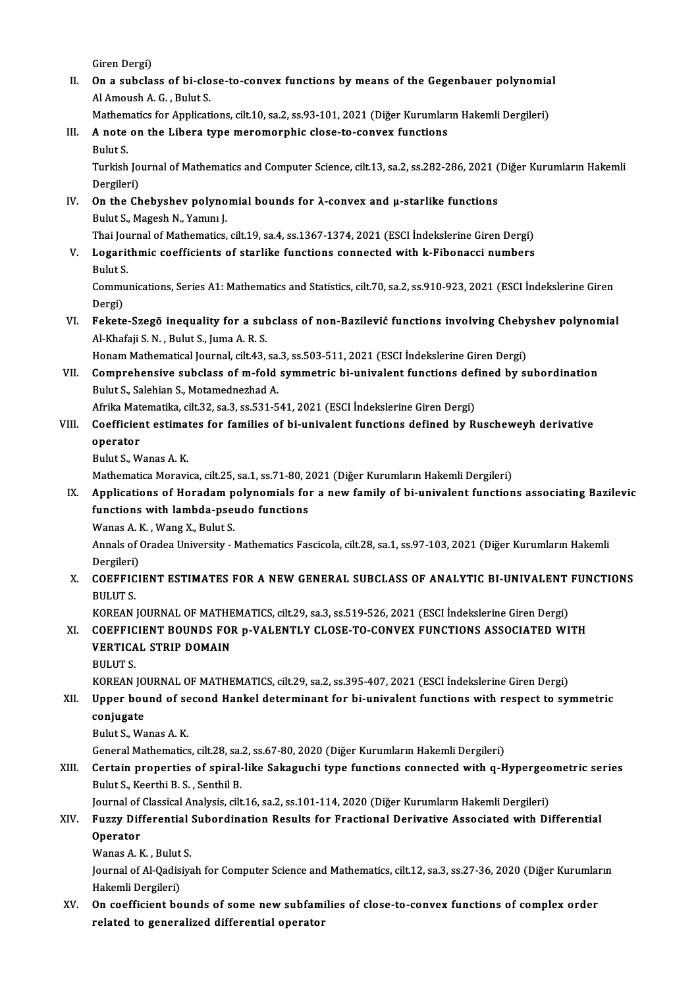Giren Dergi)

Giren Dergi)<br>II. On a subclass of bi-close-to-convex functions by means of the Gegenbauer polynomial<br>Al Ameyeb A. C. Bylyt S. Giren Dergi)<br>**On a subclass of bi-clo**<br>Al Amoush A. G. , Bulut S.<br>Mathematics for Applicati On a subclass of bi-close-to-convex functions by means of the Gegenbauer polynomia<br>Al Amoush A. G. , Bulut S.<br>Mathematics for Applications, cilt.10, sa.2, ss.93-101, 2021 (Diğer Kurumların Hakemli Dergileri)<br>A note on the

```
Mathematics for Applications, cilt.10, sa.2, ss.93-101, 2021 (Diğer Kurumların Hakemli Dergileri)
```
# Al Amoush A. G. , Bulut S.<br>Mathematics for Applications, cilt.10, sa.2, ss.93-101, 2021 (Diğer Kurumlar<br>III. A note on the Libera type meromorphic close-to-convex functions<br>Bulut S.

A note on the Libera type meromorphic close-to-convex functions<br>Bulut S.<br>Turkish Journal of Mathematics and Computer Science, cilt.13, sa.2, ss.282-286, 2021 (Diğer Kurumların Hakemli<br>Dergileri) Bulut S.<br>Turkish Jo<br>Dergileri)<br>On the Ch Turkish Journal of Mathematics and Computer Science, cilt.13, sa.2, ss.282-286, 2021 (<br>Dergileri)<br>IV. On the Chebyshev polynomial bounds for λ-convex and μ-starlike functions<br>Pulut S. Maggeb N. Vamm I

# Dergileri)<br>**On the Chebyshev polyno**<br>Bulut S., Magesh N., Yamını J.<br>Thai Journal of Mathematics On the Chebyshev polynomial bounds for λ-convex and μ-starlike functions<br>Bulut S., Magesh N., Yamını J.<br>Thai Journal of Mathematics, cilt.19, sa.4, ss.1367-1374, 2021 (ESCI İndekslerine Giren Dergi)<br>Logarithmia soofficien

Bulut S., Magesh N., Yamını J.<br>Thai Journal of Mathematics, cilt.19, sa.4, ss.1367-1374, 2021 (ESCI İndekslerine Giren Dergi)<br>V. Logarithmic coefficients of starlike functions connected with k-Fibonacci numbers<br>Bulut S. Thai Jou<br><mark>Logarit</mark><br>Bulut S. Logarithmic coefficients of starlike functions connected with k-Fibonacci numbers<br>Bulut S.<br>Communications, Series A1: Mathematics and Statistics, cilt.70, sa.2, ss.910-923, 2021 (ESCI İndekslerine Giren<br>Dergi)

Bulut S<br>Commu<br>Dergi)<br>Eekste Communications, Series A1: Mathematics and Statistics, cilt.70, sa.2, ss.910-923, 2021 (ESCI İndekslerine Giren<br>Dergi)<br>VI. Fekete-Szegö inequality for a subclass of non-Bazilević functions involving Chebyshev polynomial<br>Al

Dergi)<br>Fekete-Szegö inequality for a sul<br>Al-Khafaji S. N. , Bulut S., Juma A. R. S.<br>Hanam Mathematical Jounnal, cilt 43. Fekete-Szegö inequality for a subclass of non-Bazilević functions involving Cheby<br>Al-Khafaji S. N. , Bulut S., Juma A. R. S.<br>Honam Mathematical Journal, cilt.43, sa.3, ss.503-511, 2021 (ESCI İndekslerine Giren Dergi)<br>Compr

Al-Khafaji S. N. , Bulut S., Juma A. R. S.<br>Honam Mathematical Journal, cilt.43, sa.3, ss.503-511, 2021 (ESCI İndekslerine Giren Dergi)<br>VII. Comprehensive subclass of m-fold symmetric bi-univalent functions defined by subor Honam Mathematical Journal, cilt.43, sa.<br>Comprehensive subclass of m-fold<br>Bulut S., Salehian S., Motamednezhad A. Comprehensive subclass of m-fold symmetric bi-univalent functions def<br>Bulut S., Salehian S., Motamednezhad A.<br>Afrika Matematika, cilt.32, sa.3, ss.531-541, 2021 (ESCI İndekslerine Giren Dergi)<br>Coefficient estimates for fam

Afrika Matematika, cilt.32, sa.3, ss.531-541, 2021 (ESCI İndekslerine Giren Dergi)

# Bulut S., Salehian S., Motamednezhad A.<br>Afrika Matematika, cilt.32, sa.3, ss.531-541, 2021 (ESCI İndekslerine Giren Dergi)<br>VIII. Coefficient estimates for families of bi-univalent functions defined by Ruscheweyh derivative <mark>operator</mark><br>Bulut S., Wanas A. K.<br>Mathematica Moravica, cilt.25, sa.1, ss.71-80, 2021 (Diğer Kurumların Hakemli Dergileri)<br>Annlisations of Horadam nolunomials for a navı family of bi univalent function

BulutS.,WanasA.K.

#### IX. Applications of Horadam polynomials for a new family of bi-univalent functions associating Bazilevic functions with lambda-pseudo functions Mathematica Moravica, cilt.25, sa.1, ss.71-80, 2<br>Applications of Horadam polynomials for<br>functions with lambda-pseudo functions<br>Wanes A. K., Wang Y., Bulut S.

Wanas A.K., Wang X., Bulut S.

functions with lambda-pseudo functions<br>Wanas A. K. , Wang X., Bulut S.<br>Annals of Oradea University - Mathematics Fascicola, cilt.28, sa.1, ss.97-103, 2021 (Diğer Kurumların Hakemli Wanas A. I<br>Annals of (Dergileri)<br>COEEELCI Annals of Oradea University - Mathematics Fascicola, cilt.28, sa.1, ss.97-103, 2021 (Diğer Kurumların Hakemli<br>Dergileri)<br>X. COEFFICIENT ESTIMATES FOR A NEW GENERAL SUBCLASS OF ANALYTIC BI-UNIVALENT FUNCTIONS<br>PIU UT S

# Dergileri)<br>COEFFIC<br>BULUT S.<br>KOPEAN COEFFICIENT ESTIMATES FOR A NEW GENERAL SUBCLASS OF ANALYTIC BI-UNIVALENT<br>BULUT S.<br>KOREAN JOURNAL OF MATHEMATICS, cilt.29, sa.3, ss.519-526, 2021 (ESCI İndekslerine Giren Dergi)<br>COEFEICIENT BOUNDS FOR D. VALENTI V.CLOSE TO

BULUT S.<br>KOREAN JOURNAL OF MATHEMATICS, cilt.29, sa.3, ss.519-526, 2021 (ESCI İndekslerine Giren Dergi)<br>XI. COEFFICIENT BOUNDS FOR p-VALENTLY CLOSE-TO-CONVEX FUNCTIONS ASSOCIATED WITH

## KOREAN JOURNAL OF MATHE<br>COEFFICIENT BOUNDS FOI<br>VERTICAL STRIP DOMAIN<br>PULUTS **VERTICAL STRIP DOMAIN<br>BULUT S.**

KOREAN JOURNAL OF MATHEMATICS, cilt.29, sa.2, ss.395-407, 2021 (ESCI İndekslerine Giren Dergi)

#### BULUT S.<br>KOREAN JOURNAL OF MATHEMATICS, cilt.29, sa.2, ss.395-407, 2021 (ESCI İndekslerine Giren Dergi)<br>XII. Upper bound of second Hankel determinant for bi-univalent functions with respect to symmetric<br>conjugate KOREAN JO<br>Upper bou<br>conjugate<br><sup>Pubrt S. Mo</sup> Upper bound of se<br>conjugate<br>Bulut S., Wanas A. K.<br>Conoral Mathematics **conjugate<br>Bulut S., Wanas A. K.<br>General Mathematics, cilt.28, sa.2, ss.67-80, 2020 (Diğer Kurumların Hakemli Dergileri)**

## Bulut S., Wanas A. K.<br>General Mathematics, cilt.28, sa.2, ss.67-80, 2020 (Diğer Kurumların Hakemli Dergileri)<br>XIII. Certain properties of spiral-like Sakaguchi type functions connected with q-Hypergeometric series<br>Rulu General Mathematics, cilt.28, sa.<br>Certain properties of spiral-<br>Bulut S., Keerthi B. S. , Senthil B.<br>Journal of Classical Analysis, silt Certain properties of spiral-like Sakaguchi type functions connected with q-Hypergeo<br>Bulut S., Keerthi B. S. , Senthil B.<br>Journal of Classical Analysis, cilt.16, sa.2, ss.101-114, 2020 (Diğer Kurumların Hakemli Dergileri)<br>

## Bulut S., Keerthi B. S. , Senthil B.<br>Journal of Classical Analysis, cilt.16, sa.2, ss.101-114, 2020 (Diğer Kurumların Hakemli Dergileri)<br>XIV. Fuzzy Differential Subordination Results for Fractional Derivative Associate Journal of Classical Analysis, cilt.16, sa.2, ss.101-114, 2020 (Diğer Kurumların Hakemli Dergileri)<br>Fuzzy Differential Subordination Results for Fractional Derivative Associated with Di<br>Operator<br>Wanas A. K., Bulut S. **Fuzzy Differential<br>Operator<br>Wanas A.K., Bulut S.<br>Journal of Al Oodiaivs**

Operator<br>Wanas A. K. , Bulut S.<br>Journal of Al-Qadisiyah for Computer Science and Mathematics, cilt.12, sa.3, ss.27-36, 2020 (Diğer Kurumların Wanas A. K. , Bulut<br>Journal of Al-Qadisi<br>Hakemli Dergileri)<br>On seeffisient be

XV. On coefficient bounds of some newsubfamilies of close-to-convex functions of complex order related to generalized differential operator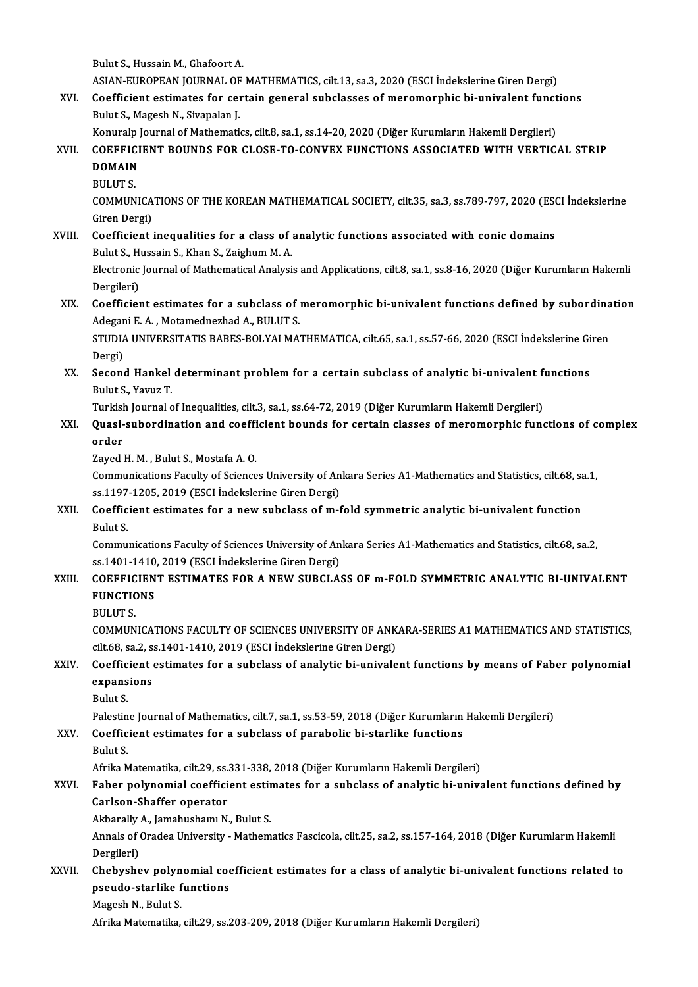Bulut S., Hussain M., Ghafoort A.

Bulut S., Hussain M., Ghafoort A.<br>ASIAN-EUROPEAN JOURNAL OF MATHEMATICS, cilt.13, sa.3, 2020 (ESCI İndekslerine Giren Dergi)<br>Coefficient estimates for sentain general subelesses of menamennhic bi univalent functi

Bulut S., Hussain M., Ghafoort A.<br>ASIAN-EUROPEAN JOURNAL OF MATHEMATICS, cilt.13, sa.3, 2020 (ESCI İndekslerine Giren Dergi)<br>XVI. Coefficient estimates for certain general subclasses of meromorphic bi-univalent functions<br>P ASIAN-EUROPEAN JOURNAL OF<br>Coefficient estimates for cel<br>Bulut S., Magesh N., Sivapalan J.<br>Konuraln Journal of Mathemati Coefficient estimates for certain general subclasses of meromorphic bi-univalent funct<br>Bulut S., Magesh N., Sivapalan J.<br>Konuralp Journal of Mathematics, cilt.8, sa.1, ss.14-20, 2020 (Diğer Kurumların Hakemli Dergileri)<br>CO

- Bulut S., Magesh N., Sivapalan J.<br>Konuralp Journal of Mathematics, cilt.8, sa.1, ss.14-20, 2020 (Diğer Kurumların Hakemli Dergileri)<br>XVII. COEFFICIENT BOUNDS FOR CLOSE-TO-CONVEX FUNCTIONS ASSOCIATED WITH VERTICAL STRIP Konuralp<br>COEFFICI<br>DOMAIN<br>PULUTS COEFFIC<br>DOMAIN<br>BULUT S.<br>COMMIN
	-
	-

DOMAIN<br>BULUT S.<br>COMMUNICATIONS OF THE KOREAN MATHEMATICAL SOCIETY, cilt.35, sa.3, ss.789-797, 2020 (ESCI İndekslerine BULUT S.<br>COMMUNICA<br>Giren Dergi)<br>Coofficiont i COMMUNICATIONS OF THE KOREAN MATHEMATICAL SOCIETY, cilt.35, sa.3, ss.789-797, 2020 (ESC<br>Giren Dergi)<br>XVIII. Coefficient inequalities for a class of analytic functions associated with conic domains<br>Pulut S. Hussain S. Khan

Giren Dergi)<br>Coefficient inequalities for a class of :<br>Bulut S., Hussain S., Khan S., Zaighum M. A.<br>Electronis Journal of Methematical Analysi Bulut S., Hussain S., Khan S., Zaighum M. A.<br>Electronic Journal of Mathematical Analysis and Applications, cilt.8, sa.1, ss.8-16, 2020 (Diğer Kurumların Hakemli

Dergileri) Electronic Journal of Mathematical Analysis and Applications, cilt.8, sa.1, ss.8-16, 2020 (Diğer Kurumların Hakemli<br>Dergileri)<br>XIX. Coefficient estimates for a subclass of meromorphic bi-univalent functions defined by subo

Dergileri)<br>Coefficient estimates for a subclass of :<br>Adegani E. A. , Motamednezhad A., BULUT S.<br>STUDIA UNIVERSITATIS RARES POLYALMA: Coefficient estimates for a subclass of meromorphic bi-univalent functions defined by subordina<br>Adegani E. A. , Motamednezhad A., BULUT S.<br>STUDIA UNIVERSITATIS BABES-BOLYAI MATHEMATICA, cilt.65, sa.1, ss.57-66, 2020 (ESCI

Adegani E. A. , Motamednezhad A., BULUT S.<br>STUDIA UNIVERSITATIS BABES-BOLYAI MATHEMATICA, cilt.65, sa.1, ss.57-66, 2020 (ESCI İndekslerine Giren<br>Dergi) STUDIA UNIVERSITATIS BABES-BOLYAI MATHEMATICA, cilt.65, sa.1, ss.57-66, 2020 (ESCI İndekslerine Gi<br>Dergi)<br>XX. Second Hankel determinant problem for a certain subclass of analytic bi-univalent functions<br>Bulut S. Varus T

Dergi)<br><mark>Second Hankel</mark><br>Bulut S., Yavuz T.<br>Turkich Journal e Second Hankel determinant problem for a certain subclass of analytic bi-univalent fi<br>Bulut S., Yavuz T.<br>Turkish Journal of Inequalities, cilt.3, sa.1, ss.64-72, 2019 (Diğer Kurumların Hakemli Dergileri)<br>Quasi subordination

Turkish Journal of Inequalities, cilt.3, sa.1, ss.64-72, 2019 (Diğer Kurumların Hakemli Dergileri)

Bulut S., Yavuz T.<br>Turkish Journal of Inequalities, cilt.3, sa.1, ss.64-72, 2019 (Diğer Kurumların Hakemli Dergileri)<br>XXI. Quasi-subordination and coefficient bounds for certain classes of meromorphic functions of complex<br>

Zayed H. M., Bulut S., Mostafa A. O.

order<br>Zayed H. M. , Bulut S., Mostafa A. O.<br>Communications Faculty of Sciences University of Ankara Series A1-Mathematics and Statistics, cilt.68, sa.1,<br>ss.1197,1205, 2019 (ESCL Indekslerine Ciren Dergi) Zayed H. M. , Bulut S., Mostafa A. O.<br>Communications Faculty of Sciences University of An<br>ss.1197-1205, 2019 (ESCI İndekslerine Giren Dergi) Communications Faculty of Sciences University of Ankara Series A1-Mathematics and Statistics, cilt.68, sa<br>ss.1197-1205, 2019 (ESCI İndekslerine Giren Dergi)<br>XXII. Coefficient estimates for a new subclass of m-fold symmetri

## ss.1197-1205, 2019 (ESCI İndekslerine Giren Dergi)<br>Coefficient estimates for a new subclass of m-fold symmetric analytic bi-univalent function<br>Bulut S. Coefficient estimates for a new subclass of m-fold symmetric analytic bi-univalent function<br>Bulut S.<br>Communications Faculty of Sciences University of Ankara Series A1-Mathematics and Statistics, cilt.68, sa.2,<br>88.1401.1410

Bulut S.<br>Communications Faculty of Sciences University of An<br>ss.1401-1410, 2019 (ESCI İndekslerine Giren Dergi)<br>COEEEICIENT ESTIMATES FOR A NEW SUPCLAS Communications Faculty of Sciences University of Ankara Series A1-Mathematics and Statistics, cilt.68, sa.2,<br>ss.1401-1410, 2019 (ESCI İndekslerine Giren Dergi)<br>XXIII. COEFFICIENT ESTIMATES FOR A NEW SUBCLASS OF m-FOLD SYMM

#### SS.1401-1410<br>COEFFICIEN<br>FUNCTIONS COEFFIC<br>FUNCTIC<br>BULUT S.<br>COMMUN FUNCTIONS<br>BULUT S.<br>COMMUNICATIONS FACULTY OF SCIENCES UNIVERSITY OF ANKARA-SERIES A1 MATHEMATICS AND STATISTICS,

BULUT S.<br>COMMUNICATIONS FACULTY OF SCIENCES UNIVERSITY OF ANK<br>cilt.68, sa.2, ss.1401-1410, 2019 (ESCI İndekslerine Giren Dergi)<br>Coefficient estimates for a subelese of analytis bi univale COMMUNICATIONS FACULTY OF SCIENCES UNIVERSITY OF ANKARA-SERIES A1 MATHEMATICS AND STATISTICS,<br>cilt.68, sa.2, ss.1401-1410, 2019 (ESCI Indekslerine Giren Dergi)<br>XXIV. Coefficient estimates for a subclass of analytic bi-univ

## cilt.68, sa.2, s:<br>Coefficient<br>expansions<br>Pulut S Coeffic<br>expans<br>Bulut S.<br><sup>Rolostin</sup> <mark>expansions</mark><br>Bulut S.<br>Palestine Journal of Mathematics, cilt.7, sa.1, ss.53-59, 2018 (Diğer Kurumların Hakemli Dergileri)<br>Coefficient estimates for a subeless of parabolis bi starlike functions

## Bulut S.<br>Palestine Journal of Mathematics, cilt.7, sa.1, ss.53-59, 2018 (Diğer Kurumların XXV.<br>Coefficient estimates for a subclass of parabolic bi-starlike functions<br>Bulut S. Palestin<br>Coeffic<br>Bulut S.

Coefficient estimates for a subclass of parabolic bi-starlike functions<br>Bulut S.<br>Afrika Matematika, cilt.29, ss.331-338, 2018 (Diğer Kurumların Hakemli Dergileri)<br>Faber polynomial soefficient estimates for a subeless of an

## Bulut S.<br>Afrika Matematika, cilt.29, ss.331-338, 2018 (Diğer Kurumların Hakemli Dergileri)<br>XXVI. Faber polynomial coefficient estimates for a subclass of analytic bi-univalent functions defined by<br>Garlson Shaffer opera Afrika Matematika, cilt.29, ss.:<br>Faber polynomial coeffici<br>Carlson-Shaffer operator<br>Akharally A. Jamahusham N Faber polynomial coefficient estin<br>Carlson-Shaffer operator<br>Akbarally A., Jamahushaını N., Bulut S.<br>Annak of Oradea University, Matham

#### Akbarally A., Jamahushaini N., Bulut S.

Carlson-Shaffer operator<br>Akbarally A., Jamahushaını N., Bulut S.<br>Annals of Oradea University - Mathematics Fascicola, cilt.25, sa.2, ss.157-164, 2018 (Diğer Kurumların Hakemli<br>Dergileri) Annals of Oradea University - Mathematics Fascicola, cilt.25, sa.2, ss.157-164, 2018 (Diğer Kurumların Hakemli<br>Dergileri)<br>XXVII. Chebyshev polynomial coefficient estimates for a class of analytic bi-univalent functions rel

# Dergileri)<br>Chebyshev polynomial coe<br>pseudo-starlike functions<br>Magaab N. Bulut S Chebyshev polyn<br>pseudo-starlike f<br>Magesh N., Bulut S.<br>Afrika Matematika

pseudo-starlike functions<br>Magesh N., Bulut S.<br>Afrika Matematika, cilt.29, ss.203-209, 2018 (Diğer Kurumların Hakemli Dergileri)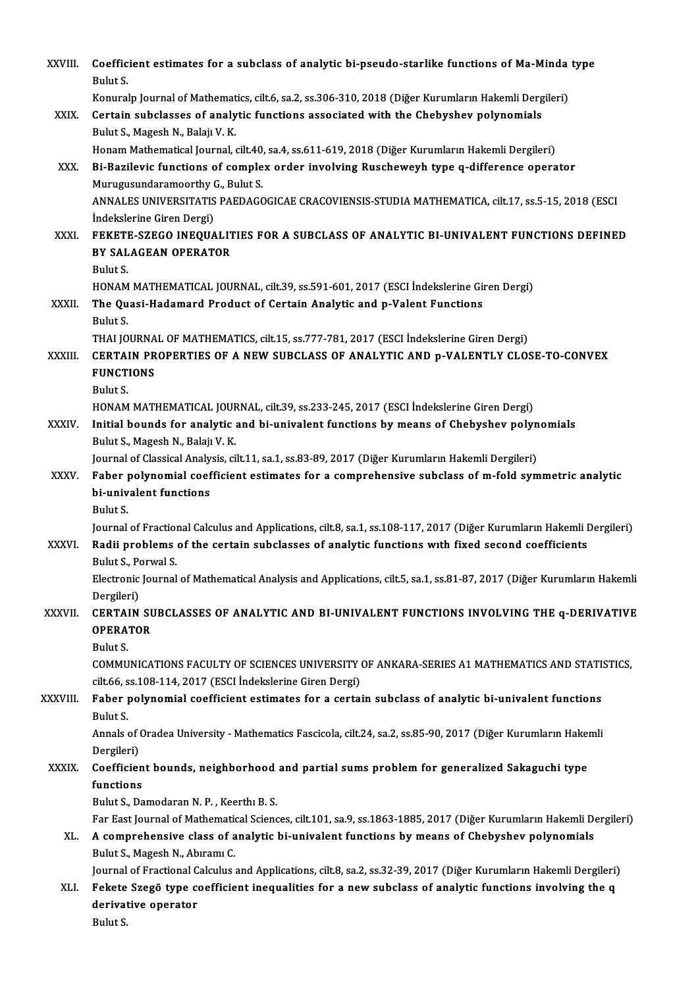| XXVIII.      | Coefficient estimates for a subclass of analytic bi-pseudo-starlike functions of Ma-Minda type<br>Bulut S.                                            |
|--------------|-------------------------------------------------------------------------------------------------------------------------------------------------------|
|              | Konuralp Journal of Mathematics, cilt.6, sa.2, ss.306-310, 2018 (Diğer Kurumların Hakemli Dergileri)                                                  |
| XXIX.        | Certain subclasses of analytic functions associated with the Chebyshev polynomials                                                                    |
|              | Bulut S., Magesh N., Balajı V. K.                                                                                                                     |
|              | Honam Mathematical Journal, cilt.40, sa.4, ss.611-619, 2018 (Diğer Kurumların Hakemli Dergileri)                                                      |
| XXX.         | Bi-Bazilevic functions of complex order involving Ruscheweyh type q-difference operator                                                               |
|              | Murugusundaramoorthy G., Bulut S.                                                                                                                     |
|              | ANNALES UNIVERSITATIS PAEDAGOGICAE CRACOVIENSIS-STUDIA MATHEMATICA, cilt.17, ss.5-15, 2018 (ESCI                                                      |
|              | Indekslerine Giren Dergi)                                                                                                                             |
| XXXI.        | FEKETE-SZEGO INEQUALITIES FOR A SUBCLASS OF ANALYTIC BI-UNIVALENT FUNCTIONS DEFINED                                                                   |
|              | <b>BY SALAGEAN OPERATOR</b>                                                                                                                           |
|              | Bulut S.                                                                                                                                              |
|              | HONAM MATHEMATICAL JOURNAL, cilt.39, ss.591-601, 2017 (ESCI İndekslerine Giren Dergi)                                                                 |
| XXXII.       | The Quasi-Hadamard Product of Certain Analytic and p-Valent Functions                                                                                 |
|              | Bulut S.                                                                                                                                              |
|              | THAI JOURNAL OF MATHEMATICS, cilt.15, ss.777-781, 2017 (ESCI İndekslerine Giren Dergi)                                                                |
| XXXIII.      | CERTAIN PROPERTIES OF A NEW SUBCLASS OF ANALYTIC AND p-VALENTLY CLOSE-TO-CONVEX<br><b>FUNCTIONS</b>                                                   |
|              | Bulut S.                                                                                                                                              |
|              | HONAM MATHEMATICAL JOURNAL, cilt.39, ss.233-245, 2017 (ESCI İndekslerine Giren Dergi)                                                                 |
| XXXIV.       | Initial bounds for analytic and bi-univalent functions by means of Chebyshev polynomials                                                              |
|              | Bulut S., Magesh N., Balajı V. K.                                                                                                                     |
|              | Journal of Classical Analysis, cilt.11, sa.1, ss.83-89, 2017 (Diğer Kurumların Hakemli Dergileri)                                                     |
| <b>XXXV</b>  | Faber polynomial coefficient estimates for a comprehensive subclass of m-fold symmetric analytic                                                      |
|              | bi-univalent functions                                                                                                                                |
|              | Bulut S.                                                                                                                                              |
|              | Journal of Fractional Calculus and Applications, cilt.8, sa.1, ss.108-117, 2017 (Diğer Kurumların Hakemli Dergileri)                                  |
| <b>XXXVI</b> | Radii problems of the certain subclasses of analytic functions with fixed second coefficients<br>Bulut S., Porwal S.                                  |
|              | Electronic Journal of Mathematical Analysis and Applications, cilt.5, sa.1, ss.81-87, 2017 (Diğer Kurumların Hakemli                                  |
|              | Dergileri)                                                                                                                                            |
| XXXVII.      | CERTAIN SUBCLASSES OF ANALYTIC AND BI-UNIVALENT FUNCTIONS INVOLVING THE q-DERIVATIVE                                                                  |
|              | <b>OPERATOR</b>                                                                                                                                       |
|              | Bulut S.                                                                                                                                              |
|              | COMMUNICATIONS FACULTY OF SCIENCES UNIVERSITY OF ANKARA-SERIES A1 MATHEMATICS AND STATISTICS,                                                         |
|              | cilt.66, ss.108-114, 2017 (ESCI İndekslerine Giren Dergi)                                                                                             |
| XXXVIII.     | Faber polynomial coefficient estimates for a certain subclass of analytic bi-univalent functions                                                      |
|              | Bulut S.                                                                                                                                              |
|              | Annals of Oradea University - Mathematics Fascicola, cilt.24, sa.2, ss.85-90, 2017 (Diğer Kurumların Hakemli                                          |
|              | Dergileri)                                                                                                                                            |
| <b>XXXIX</b> | Coefficient bounds, neighborhood and partial sums problem for generalized Sakaguchi type                                                              |
|              | functions                                                                                                                                             |
|              | Bulut S., Damodaran N. P., Keerthi B. S.                                                                                                              |
|              | Far East Journal of Mathematical Sciences, cilt.101, sa.9, ss.1863-1885, 2017 (Diğer Kurumların Hakemli Dergileri)                                    |
| XL.          | A comprehensive class of analytic bi-univalent functions by means of Chebyshev polynomials                                                            |
|              | Bulut S., Magesh N., Abıramı C.<br>Journal of Fractional Calculus and Applications, cilt.8, sa.2, ss.32-39, 2017 (Diğer Kurumların Hakemli Dergileri) |
| XLI.         | Fekete Szegö type coefficient inequalities for a new subclass of analytic functions involving the q                                                   |
|              | derivative operator                                                                                                                                   |
|              | Bulut S.                                                                                                                                              |
|              |                                                                                                                                                       |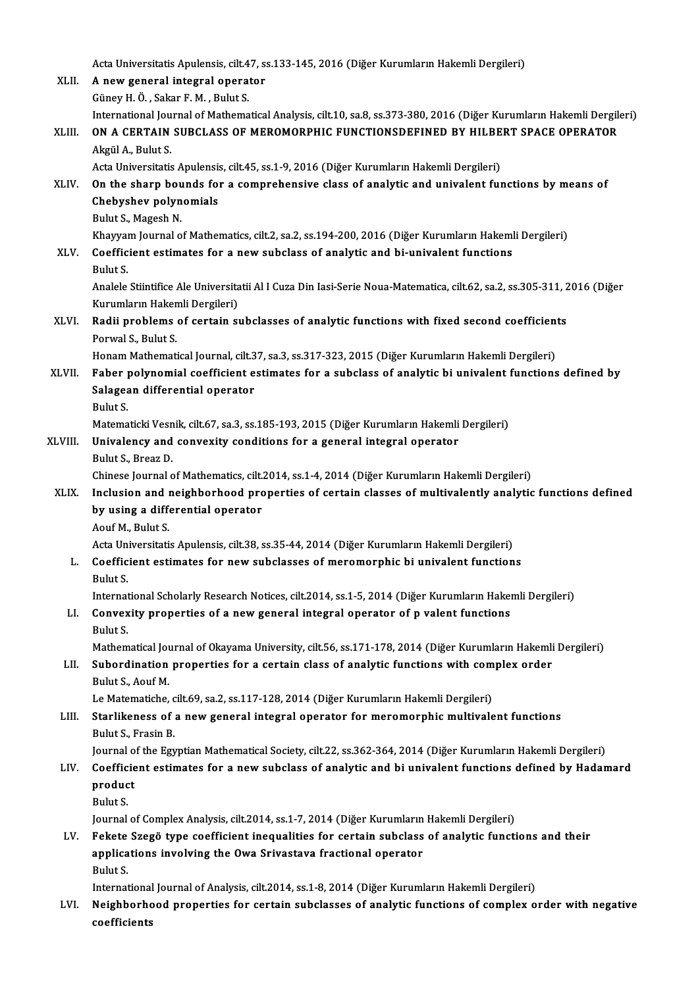Acta Universitatis Apulensis, cilt.47, ss.133-145, 2016 (Diğer Kurumların Hakemli Dergileri)<br>A new general integral onerator

|         | Acta Universitatis Apulensis, cilt.47, ss.133-145, 2016 (Diğer Kurumların Hakemli Dergileri)                           |
|---------|------------------------------------------------------------------------------------------------------------------------|
| XLII.   | A new general integral operator                                                                                        |
|         | Güney H. Ö., Sakar F. M., Bulut S.                                                                                     |
|         | International Journal of Mathematical Analysis, cilt.10, sa.8, ss.373-380, 2016 (Diğer Kurumların Hakemli Dergileri)   |
| XLIII.  | ON A CERTAIN SUBCLASS OF MEROMORPHIC FUNCTIONSDEFINED BY HILBERT SPACE OPERATOR                                        |
|         | Akgül A., Bulut S.                                                                                                     |
|         | Acta Universitatis Apulensis, cilt.45, ss.1-9, 2016 (Diğer Kurumların Hakemli Dergileri)                               |
| XLIV.   | On the sharp bounds for a comprehensive class of analytic and univalent functions by means of                          |
|         | Chebyshev polynomials                                                                                                  |
|         | Bulut S., Magesh N.                                                                                                    |
|         | Khayyam Journal of Mathematics, cilt.2, sa.2, ss.194-200, 2016 (Diğer Kurumların Hakemli Dergileri)                    |
| XLV.    | Coefficient estimates for a new subclass of analytic and bi-univalent functions                                        |
|         | Bulut S.                                                                                                               |
|         | Analele Stiintifice Ale Universitatii Al I Cuza Din Iasi-Serie Noua-Matematica, cilt.62, sa.2, ss.305-311, 2016 (Diğer |
|         | Kurumların Hakemli Dergileri)                                                                                          |
| XLVI.   | Radii problems of certain subclasses of analytic functions with fixed second coefficients                              |
|         | Porwal S, Bulut S                                                                                                      |
|         | Honam Mathematical Journal, cilt.37, sa.3, ss.317-323, 2015 (Diğer Kurumların Hakemli Dergileri)                       |
| XLVII.  | Faber polynomial coefficient estimates for a subclass of analytic bi univalent functions defined by                    |
|         | Salagean differential operator                                                                                         |
|         | Bulut S.                                                                                                               |
|         | Matematicki Vesnik, cilt.67, sa.3, ss.185-193, 2015 (Diğer Kurumların Hakemli Dergileri)                               |
| XLVIII. | Univalency and convexity conditions for a general integral operator                                                    |
|         | Bulut S., Breaz D.                                                                                                     |
|         | Chinese Journal of Mathematics, cilt.2014, ss.1-4, 2014 (Diğer Kurumların Hakemli Dergileri)                           |
| XLIX.   | Inclusion and neighborhood properties of certain classes of multivalently analytic functions defined                   |
|         | by using a differential operator                                                                                       |
|         | Aouf M., Bulut S.                                                                                                      |
|         | Acta Universitatis Apulensis, cilt.38, ss.35-44, 2014 (Diğer Kurumların Hakemli Dergileri)                             |
| L.      | Coefficient estimates for new subclasses of meromorphic bi univalent functions                                         |
|         | Bulut S                                                                                                                |
|         | International Scholarly Research Notices, cilt.2014, ss.1-5, 2014 (Diğer Kurumların Hakemli Dergileri)                 |
| LI.     | Convexity properties of a new general integral operator of p valent functions                                          |
|         | Bulut S.                                                                                                               |
|         | Mathematical Journal of Okayama University, cilt.56, ss.171-178, 2014 (Diğer Kurumların Hakemli Dergileri)             |
| LII.    | Subordination properties for a certain class of analytic functions with complex order                                  |
|         | Bulut S., Aouf M.                                                                                                      |
|         | Le Matematiche, cilt.69, sa.2, ss.117-128, 2014 (Diğer Kurumların Hakemli Dergileri)                                   |
| LIII.   | Starlikeness of a new general integral operator for meromorphic multivalent functions                                  |
|         | Bulut S., Frasin B.                                                                                                    |
|         | Journal of the Egyptian Mathematical Society, cilt.22, ss.362-364, 2014 (Diğer Kurumların Hakemli Dergileri)           |
| LIV.    | Coefficient estimates for a new subclass of analytic and bi univalent functions defined by Hadamard                    |
|         | product                                                                                                                |
|         | Bulut S.                                                                                                               |
|         | Journal of Complex Analysis, cilt.2014, ss.1-7, 2014 (Diğer Kurumların Hakemli Dergileri)                              |
| LV.     | Fekete Szegö type coefficient inequalities for certain subclass of analytic functions and their                        |
|         | applications involving the Owa Srivastava fractional operator                                                          |
|         | Bulut S.                                                                                                               |
|         | International Journal of Analysis, cilt.2014, ss.1-8, 2014 (Diğer Kurumların Hakemli Dergileri)                        |
| LVI.    | Neighborhood properties for certain subclasses of analytic functions of complex order with negative                    |
|         | coefficients                                                                                                           |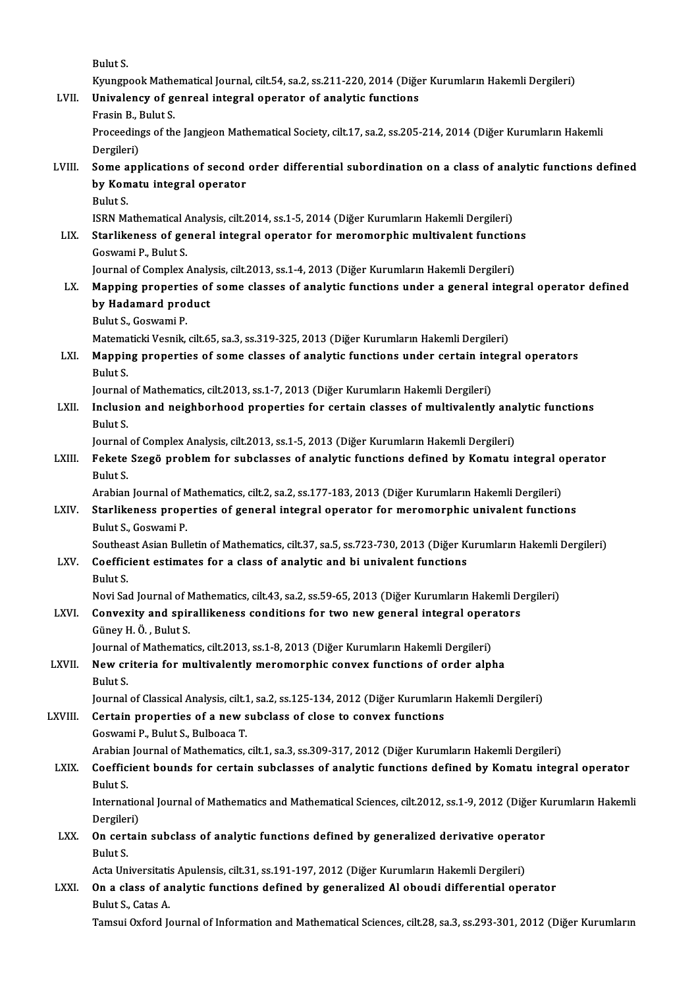BulutS.

Bulut S.<br>Kyungpook Mathematical Journal, cilt.54, sa.2, ss.211-220, 2014 (Diğer Kurumların Hakemli Dergileri)<br>Univelanev ef senneal integral operaten ef analytis functions Bulut S.<br>Kyungpook Mathematical Journal, cilt.54, sa.2, ss.211-220, 2014 (Diğe<br>LVII. Univalency of genreal integral operator of analytic functions<br>Frasin B. Bulut S.

Kyungpook Mathe<br>Univalency of ge<br>Frasin B., Bulut S.<br>Proceedings of th Univalency of genreal integral operator of analytic functions<br>Frasin B., Bulut S.<br>Proceedings of the Jangjeon Mathematical Society, cilt.17, sa.2, ss.205-214, 2014 (Diğer Kurumların Hakemli<br>Dersileri) Frasin B., I<br>Proceedin<br>Dergileri)<br>Somo ann Proceedings of the Jangjeon Mathematical Society, cilt.17, sa.2, ss.205-214, 2014 (Diğer Kurumların Hakemli<br>Dergileri)<br>LVIII. Some applications of second order differential subordination on a class of analytic functions de

Dergileri)<br>Some applications of second<br>by Komatu integral operator<br>Pulut S Some a<br>by Kom<br>Bulut S.<br>ISBN M4 by Komatu integral operator<br>Bulut S.<br>ISRN Mathematical Analysis, cilt.2014, ss.1-5, 2014 (Diğer Kurumların Hakemli Dergileri)<br>Starlikaness of general integral operator for meremerabis multivalent function

Bulut S.<br>ISRN Mathematical Analysis, cilt.2014, ss.1-5, 2014 (Diğer Kurumların Hakemli Dergileri)<br>LIX. Starlikeness of general integral operator for meromorphic multivalent functions<br>Cosygoni B. Bulut S. **ISRN Mathematical A**<br>**Starlikeness of ge**<br>Goswami P., Bulut S.<br>Journal of Complex Starlikeness of general integral operator for meromorphic multivalent function<br>Goswami P., Bulut S.<br>Journal of Complex Analysis, cilt.2013, ss.1-4, 2013 (Diğer Kurumların Hakemli Dergileri)<br>Manning proporties of some slass

- Goswami P., Bulut S.<br>Journal of Complex Analysis, cilt.2013, ss.1-4, 2013 (Diğer Kurumların Hakemli Dergileri)<br>LX. Mapping properties of some classes of analytic functions under a general integral operator defined<br>hy H **Journal of Complex Analy<br>Mapping properties of<br>by Hadamard product**<br>Pulut S. Cosurmi P Mapping properti<mark>t</mark><br>by Hadamard pro<br>Bulut S., Goswami P.<br>Matamatiaki Vesnik by Hadamard product<br>Bulut S., Goswami P.<br>Matematicki Vesnik, cilt.65, sa.3, ss.319-325, 2013 (Diğer Kurumların Hakemli Dergileri)<br>Manning preperties of some slasses of analytis functions under sertain integr
	-

Bulut S., Goswami P.<br>Matematicki Vesnik, cilt.65, sa.3, ss.319-325, 2013 (Diğer Kurumların Hakemli Dergileri)<br>LXI. Mapping properties of some classes of analytic functions under certain integral operators<br>Bulut S. Matema<br><mark>Mappin</mark><br>Bulut S.<br>Jau**rna**l Mapping properties of some classes of analytic functions under certain int<br>Bulut S.<br>Journal of Mathematics, cilt.2013, ss.1-7, 2013 (Diğer Kurumların Hakemli Dergileri)<br>Inclusion and neighborhood properties for sertain sla

LXII. Inclusion and neighborhood properties for certain classes of multivalently analytic functions<br>Bulut S. Journal<br><mark>Inclusie</mark><br>Bulut S.<br>Journal Inclusion and neighborhood properties for certain classes of multivalently ana<br>Bulut S.<br>Journal of Complex Analysis, cilt.2013, ss.1-5, 2013 (Diğer Kurumların Hakemli Dergileri)<br>Fekste Szegő problem for subelesses of analy

Bulut S.<br>Journal of Complex Analysis, cilt.2013, ss.1-5, 2013 (Diğer Kurumların Hakemli Dergileri)<br>LXIII. Fekete Szegö problem for subclasses of analytic functions defined by Komatu integral operator<br>Pulut S Journal<br>Fekete<br>Bulut S.<br>Arabian Fekete Szegö problem for subclasses of analytic functions defined by Komatu integral o<br>Bulut S.<br>Arabian Journal of Mathematics, cilt.2, sa.2, ss.177-183, 2013 (Diğer Kurumların Hakemli Dergileri)<br>Starlikaness proporties of

Arabian Journal of Mathematics, cilt.2, sa.2, ss.177-183, 2013 (Diğer Kurumların Hakemli Dergileri)

Bulut S.<br>Arabian Journal of Mathematics, cilt.2, sa.2, ss.177-183, 2013 (Diğer Kurumların Hakemli Dergileri)<br>LXIV. Starlikeness properties of general integral operator for meromorphic univalent functions<br>Bulut S., Goswami Starlikeness properties of general integral operator for meromorphic univalent functions<br>Bulut S., Goswami P.<br>Southeast Asian Bulletin of Mathematics, cilt.37, sa.5, ss.723-730, 2013 (Diğer Kurumların Hakemli Dergileri)<br>Co

## Bulut S., Goswami P.<br>Southeast Asian Bulletin of Mathematics, cilt.37, sa.5, ss.723-730, 2013 (Diğer K.<br>LXV. Coefficient estimates for a class of analytic and bi univalent functions Southea<br>Coeffic<br>Bulut S. Coefficient estimates for a class of analytic and bi univalent functions<br>Bulut S.<br>Novi Sad Journal of Mathematics, cilt.43, sa.2, ss.59-65, 2013 (Diğer Kurumların Hakemli Dergileri)<br>Convenity and anivallikaness sonditions

Bulut S.<br>Novi Sad Journal of Mathematics, cilt.43, sa.2, ss.59-65, 2013 (Diğer Kurumların Hakemli De<br>LXVI. Convexity and spirallikeness conditions for two new general integral operators<br>Günev H.Ö. Bulut S. Novi Sad Journal of N<br>**Convexity and spir**<br>Güney H. Ö. , Bulut S.<br>Journal of Mathemati Convexity and spirallikeness conditions for two new general integral opera<br>Güney H. Ö. , Bulut S.<br>Journal of Mathematics, cilt.2013, ss.1-8, 2013 (Diğer Kurumların Hakemli Dergileri)<br>New exiteria for multivalently menamenn

## Güney H. Ö. , Bulut S.<br>Journal of Mathematics, cilt.2013, ss.1-8, 2013 (Diğer Kurumların Hakemli Dergileri)<br>LXVII. New criteria for multivalently meromorphic convex functions of order alpha Journal<br><mark>New cr</mark><br>Bulut S.<br>Journal New criteria for multivalently meromorphic convex functions of order alpha<br>Bulut S.<br>Journal of Classical Analysis, cilt.1, sa.2, ss.125-134, 2012 (Diğer Kurumların Hakemli Dergileri)<br>Certain proporties of a new subslass of

Bulut S.<br>Journal of Classical Analysis, cilt.1, sa.2, ss.125-134, 2012 (Diğer Kurumları<br>LXVIII. Certain properties of a new subclass of close to convex functions<br>Goswami P., Bulut S., Bulboaca T. Journal of Classical Analysis, cilt.1<br>Certain properties of a new s<br>Goswami P., Bulut S., Bulboaca T.<br>Arabian Journal of Mathematics Certain properties of a new subclass of close to convex functions<br>Goswami P., Bulut S., Bulboaca T.<br>Arabian Journal of Mathematics, cilt.1, sa.3, ss.309-317, 2012 (Diğer Kurumların Hakemli Dergileri)<br>Coefficient bounds for

## Goswami P., Bulut S., Bulboaca T.<br>Arabian Journal of Mathematics, cilt.1, sa.3, ss.309-317, 2012 (Diğer Kurumların Hakemli Dergileri)<br>LXIX. Coefficient bounds for certain subclasses of analytic functions defined by Kom Arabian<br>Coeffic<br>Bulut S.<br>Internet Coefficient bounds for certain subclasses of analytic functions defined by Komatu integral operator<br>Bulut S.<br>International Journal of Mathematics and Mathematical Sciences, cilt.2012, ss.1-9, 2012 (Diğer Kurumların Hakemli

Bulut S.<br>International Journal of Mathematics and Mathematical Sciences, cilt.2012, ss.1-9, 2012 (Diğer Kurumların Hakemli<br>Dergileri) International Journal of Mathematics and Mathematical Sciences, cilt.2012, ss.1-9, 2012 (Diğer K<br>Dergileri)<br>LXX. On certain subclass of analytic functions defined by generalized derivative operator<br>Pulut S

# Dergiler<br>On cert<br>Bulut S. On certain subclass of analytic functions defined by generalized derivative opera<br>Bulut S.<br>Acta Universitatis Apulensis, cilt.31, ss.191-197, 2012 (Diğer Kurumların Hakemli Dergileri)<br>On a slass of analytis functions defin

Acta Universitatis Apulensis, cilt.31, ss.191-197, 2012 (Diğer Kurumların Hakemli Dergileri)

# Bulut S.<br>Acta Universitatis Apulensis, cilt.31, ss.191-197, 2012 (Diğer Kurumların Hakemli Dergileri)<br>LXXI. On a class of analytic functions defined by generalized Al oboudi differential operator<br>Bulut S., Catas A.

Tamsui Oxford Journal of Information and Mathematical Sciences, cilt.28, sa.3, ss.293-301, 2012 (Diğer Kurumların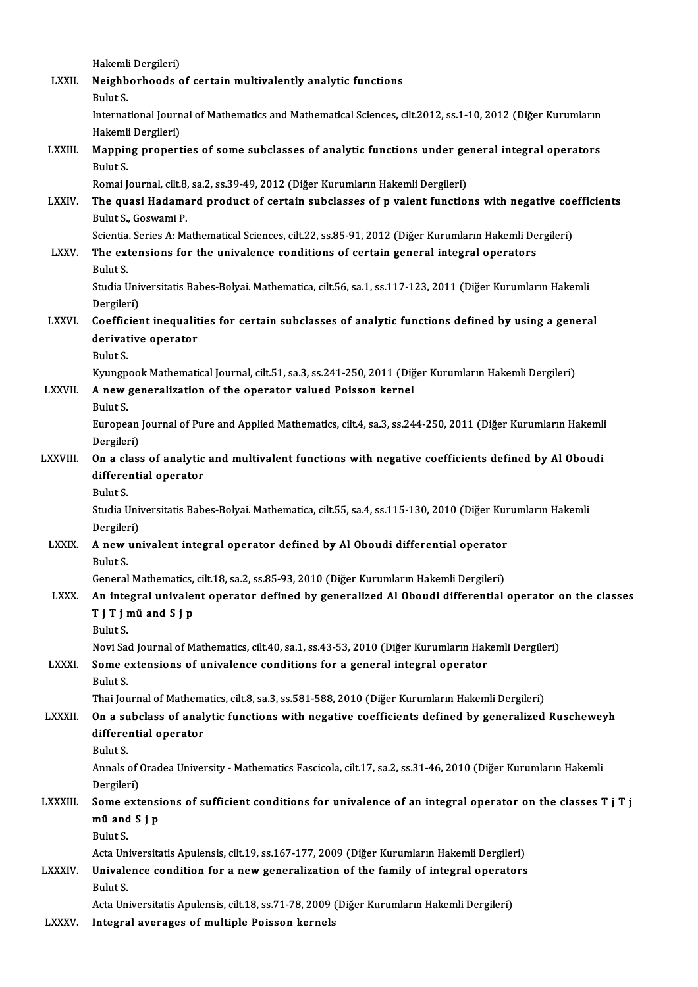|                | Hakemli Dergileri)                                                                                                                                                                                   |
|----------------|------------------------------------------------------------------------------------------------------------------------------------------------------------------------------------------------------|
| <b>LXXII</b>   | Neighborhoods of certain multivalently analytic functions                                                                                                                                            |
|                | Bulut S.<br>International Journal of Mathematics and Mathematical Sciences, cilt.2012, ss.1-10, 2012 (Diğer Kurumların                                                                               |
|                | Hakemli Dergileri)                                                                                                                                                                                   |
| LXXIII.        | Mapping properties of some subclasses of analytic functions under general integral operators                                                                                                         |
|                | Bulut S.                                                                                                                                                                                             |
|                | Romai Journal, cilt.8, sa.2, ss.39-49, 2012 (Diğer Kurumların Hakemli Dergileri)                                                                                                                     |
| <b>LXXIV</b>   | The quasi Hadamard product of certain subclasses of p valent functions with negative coefficients<br>Bulut S., Goswami P.                                                                            |
|                | Scientia. Series A: Mathematical Sciences, cilt.22, ss.85-91, 2012 (Diğer Kurumların Hakemli Dergileri)                                                                                              |
| <b>LXXV</b>    | The extensions for the univalence conditions of certain general integral operators                                                                                                                   |
|                | Bulut S.                                                                                                                                                                                             |
|                | Studia Universitatis Babes-Bolyai. Mathematica, cilt.56, sa.1, ss.117-123, 2011 (Diğer Kurumların Hakemli                                                                                            |
|                | Dergileri)                                                                                                                                                                                           |
| <b>LXXVI</b>   | Coefficient inequalities for certain subclasses of analytic functions defined by using a general                                                                                                     |
|                | derivative operator                                                                                                                                                                                  |
|                | Bulut S.<br>Kyungpook Mathematical Journal, cilt.51, sa.3, ss.241-250, 2011 (Diğer Kurumların Hakemli Dergileri)                                                                                     |
| LXXVII.        | A new generalization of the operator valued Poisson kernel                                                                                                                                           |
|                | Bulut S.                                                                                                                                                                                             |
|                | European Journal of Pure and Applied Mathematics, cilt.4, sa.3, ss.244-250, 2011 (Diğer Kurumların Hakemli                                                                                           |
|                | Dergileri)                                                                                                                                                                                           |
| <b>LXXVIII</b> | On a class of analytic and multivalent functions with negative coefficients defined by Al Oboudi                                                                                                     |
|                | differential operator                                                                                                                                                                                |
|                | Bulut S.                                                                                                                                                                                             |
|                | Studia Universitatis Babes-Bolyai. Mathematica, cilt.55, sa.4, ss.115-130, 2010 (Diğer Kurumların Hakemli                                                                                            |
| <b>LXXIX</b>   | Dergileri)<br>A new univalent integral operator defined by Al Oboudi differential operator                                                                                                           |
|                | Bulut S.                                                                                                                                                                                             |
|                | General Mathematics, cilt 18, sa.2, ss.85-93, 2010 (Diğer Kurumların Hakemli Dergileri)                                                                                                              |
| <b>LXXX</b>    | An integral univalent operator defined by generalized Al Oboudi differential operator on the classes                                                                                                 |
|                | Tj Tj mü and Sj p                                                                                                                                                                                    |
|                | Bulut S                                                                                                                                                                                              |
|                | Novi Sad Journal of Mathematics, cilt.40, sa.1, ss.43-53, 2010 (Diğer Kurumların Hakemli Dergileri)                                                                                                  |
| <b>LXXXI</b>   | Some extensions of univalence conditions for a general integral operator                                                                                                                             |
|                | Bulut S.                                                                                                                                                                                             |
| LXXXII.        | Thai Journal of Mathematics, cilt.8, sa.3, ss.581-588, 2010 (Diğer Kurumların Hakemli Dergileri)<br>On a subclass of analytic functions with negative coefficients defined by generalized Ruscheweyh |
|                | differential operator                                                                                                                                                                                |
|                | Bulut S.                                                                                                                                                                                             |
|                | Annals of Oradea University - Mathematics Fascicola, cilt.17, sa 2, ss 31-46, 2010 (Diğer Kurumların Hakemli                                                                                         |
|                | Dergileri)                                                                                                                                                                                           |
| <b>LXXXIII</b> | Some extensions of sufficient conditions for univalence of an integral operator on the classes T j T j                                                                                               |
|                | mü and S j p                                                                                                                                                                                         |
|                | Bulut S.                                                                                                                                                                                             |
|                | Acta Universitatis Apulensis, cilt.19, ss.167-177, 2009 (Diğer Kurumların Hakemli Dergileri)                                                                                                         |
| <b>LXXXIV</b>  | Univalence condition for a new generalization of the family of integral operators                                                                                                                    |
|                | Bulut S<br>Acta Universitatis Apulensis, cilt.18, ss.71-78, 2009 (Diğer Kurumların Hakemli Dergileri)                                                                                                |
| <b>I VVVII</b> | Integral overgons of multiple Deisson Ironpels                                                                                                                                                       |

LXXXV. Integral averages of multiple Poisson kernels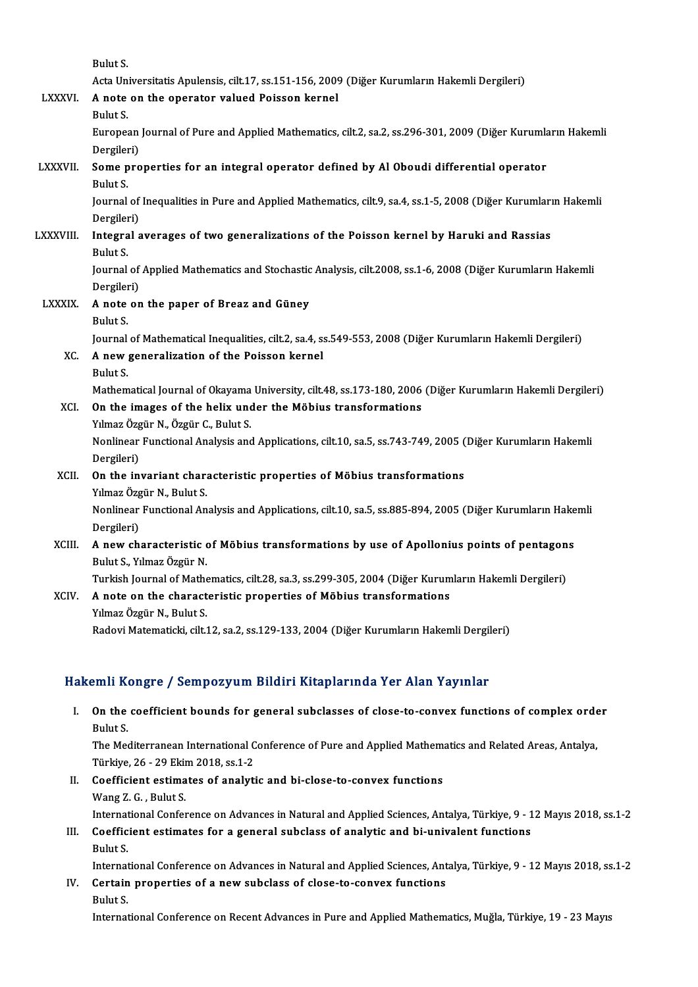|                 | Bulut S.                                                                                                                 |
|-----------------|--------------------------------------------------------------------------------------------------------------------------|
|                 | Acta Universitatis Apulensis, cilt.17, ss.151-156, 2009 (Diğer Kurumların Hakemli Dergileri)                             |
| <b>LXXXVI</b>   | A note on the operator valued Poisson kernel                                                                             |
|                 | Bulut S.                                                                                                                 |
|                 | European Journal of Pure and Applied Mathematics, cilt.2, sa.2, ss.296-301, 2009 (Diğer Kurumların Hakemli<br>Dergileri) |
| <b>LXXXVII.</b> | Some properties for an integral operator defined by Al Oboudi differential operator                                      |
|                 | Bulut S.                                                                                                                 |
|                 | Journal of Inequalities in Pure and Applied Mathematics, cilt.9, sa.4, ss.1-5, 2008 (Diğer Kurumların Hakemli            |
|                 | Dergileri)                                                                                                               |
| LXXXVIII.       | Integral averages of two generalizations of the Poisson kernel by Haruki and Rassias                                     |
|                 | Bulut S.                                                                                                                 |
|                 | Journal of Applied Mathematics and Stochastic Analysis, cilt.2008, ss.1-6, 2008 (Diğer Kurumların Hakemli                |
|                 | Dergileri)                                                                                                               |
| <b>LXXXIX</b>   | A note on the paper of Breaz and Güney                                                                                   |
|                 | Bulut S.                                                                                                                 |
|                 | Journal of Mathematical Inequalities, cilt.2, sa.4, ss.549-553, 2008 (Diğer Kurumların Hakemli Dergileri)                |
| XC.             | A new generalization of the Poisson kernel                                                                               |
|                 | Bulut S.                                                                                                                 |
|                 | Mathematical Journal of Okayama University, cilt.48, ss.173-180, 2006 (Diğer Kurumların Hakemli Dergileri)               |
| XCI.            | On the images of the helix under the Möbius transformations                                                              |
|                 | Yılmaz Özgür N., Özgür C., Bulut S.                                                                                      |
|                 | Nonlinear Functional Analysis and Applications, cilt.10, sa.5, ss.743-749, 2005 (Diğer Kurumların Hakemli                |
|                 | Dergileri)                                                                                                               |
| XCII.           | On the invariant characteristic properties of Möbius transformations                                                     |
|                 | Yılmaz Özgür N., Bulut S.                                                                                                |
|                 | Nonlinear Functional Analysis and Applications, cilt.10, sa.5, ss.885-894, 2005 (Diğer Kurumların Hakemli                |
|                 | Dergileri)                                                                                                               |
| XCIII.          | A new characteristic of Möbius transformations by use of Apollonius points of pentagons                                  |
|                 | Bulut S., Yılmaz Özgür N.                                                                                                |
|                 | Turkish Journal of Mathematics, cilt.28, sa.3, ss.299-305, 2004 (Diğer Kurumların Hakemli Dergileri)                     |
| XCIV.           | A note on the characteristic properties of Möbius transformations                                                        |
|                 | Yılmaz Özgür N., Bulut S.                                                                                                |

Radovi Matematicki, cilt.12, sa.2, ss.129-133, 2004 (Diğer Kurumların Hakemli Dergileri)

#### Hakemli Kongre / Sempozyum Bildiri Kitaplarında Yer Alan Yayınlar

akemli Kongre / Sempozyum Bildiri Kitaplarında Yer Alan Yayınlar<br>I. On the coefficient bounds for general subclasses of close-to-convex functions of complex order om<br>**11** On the<br>Bulut S.<br>The Mex On the coefficient bounds for general subclasses of close-to-convex functions of complex orde<br>Bulut S.<br>The Mediterranean International Conference of Pure and Applied Mathematics and Related Areas, Antalya,<br>Türkiye 26, 20 F Bulut S.<br>The Mediterranean International Conference of Pure and Applied Mathematics and Related Areas, Antalya, Türkiye, 26 - 29 Ekim 2018, ss.1-2

- II. Coefficient estimates of analytic and bi-close-to-convex functions<br>Wang Z. G., Bulut S. International Conference on Advances in Natural and Applied Sciences, Antalya, Türkiye, 9 - 12 Mayıs 2018, ss.1-2 Wang Z. G. , Bulut S.<br>International Conference on Advances in Natural and Applied Sciences, Antalya, Türkiye, 9 - 1<br>III. Coefficient estimates for a general subclass of analytic and bi-univalent functions<br>Pulut S
- Internat<br>Coeffic<br>Bulut S.<br>Internat Coefficient estimates for a general subclass of analytic and bi-univalent functions<br>Bulut S.<br>International Conference on Advances in Natural and Applied Sciences, Antalya, Türkiye, 9 - 12 Mayıs 2018, ss.1-2<br>Centain propert

Bulut S.<br>International Conference on Advances in Natural and Applied Sciences, Ant<br>IV. Certain properties of a new subclass of close-to-convex functions<br>Pulut S. Internat<br>Certain<br>Bulut S.<br>Internat IV. Certain properties of a new subclass of close-to-convex functions<br>Bulut S.<br>International Conference on Recent Advances in Pure and Applied Mathematics, Muğla, Türkiye, 19 - 23 Mayıs